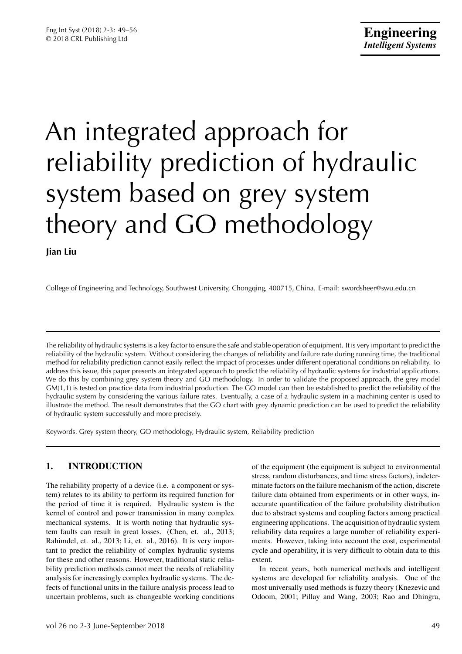# An integrated approach for reliability prediction of hydraulic system based on grey system theory and GO methodology

**Jian Liu**

College of Engineering and Technology, Southwest University, Chongqing, 400715, China. E-mail: swordsheer@swu.edu.cn

The reliability of hydraulic systems is a key factor to ensure the safe and stable operation of equipment. It is very important to predict the reliability of the hydraulic system. Without considering the changes of reliability and failure rate during running time, the traditional method for reliability prediction cannot easily reflect the impact of processes under different operational conditions on reliability. To address this issue, this paper presents an integrated approach to predict the reliability of hydraulic systems for industrial applications. We do this by combining grey system theory and GO methodology. In order to validate the proposed approach, the grey model GM(1,1) is tested on practice data from industrial production. The GO model can then be established to predict the reliability of the hydraulic system by considering the various failure rates. Eventually, a case of a hydraulic system in a machining center is used to illustrate the method. The result demonstrates that the GO chart with grey dynamic prediction can be used to predict the reliability of hydraulic system successfully and more precisely.

Keywords: Grey system theory, GO methodology, Hydraulic system, Reliability prediction

# **1. INTRODUCTION**

The reliability property of a device (i.e. a component or system) relates to its ability to perform its required function for the period of time it is required. Hydraulic system is the kernel of control and power transmission in many complex mechanical systems. It is worth noting that hydraulic system faults can result in great losses. (Chen, et. al., 2013; Rahimdel, et. al., 2013; Li, et. al., 2016). It is very important to predict the reliability of complex hydraulic systems for these and other reasons. However, traditional static reliability prediction methods cannot meet the needs of reliability analysis for increasingly complex hydraulic systems. The defects of functional units in the failure analysis process lead to uncertain problems, such as changeable working conditions of the equipment (the equipment is subject to environmental stress, random disturbances, and time stress factors), indeterminate factors on the failure mechanism of the action, discrete failure data obtained from experiments or in other ways, inaccurate quantification of the failure probability distribution due to abstract systems and coupling factors among practical engineering applications. The acquisition of hydraulic system reliability data requires a large number of reliability experiments. However, taking into account the cost, experimental cycle and operability, it is very difficult to obtain data to this extent.

In recent years, both numerical methods and intelligent systems are developed for reliability analysis. One of the most universally used methods is fuzzy theory (Knezevic and Odoom, 2001; Pillay and Wang, 2003; Rao and Dhingra,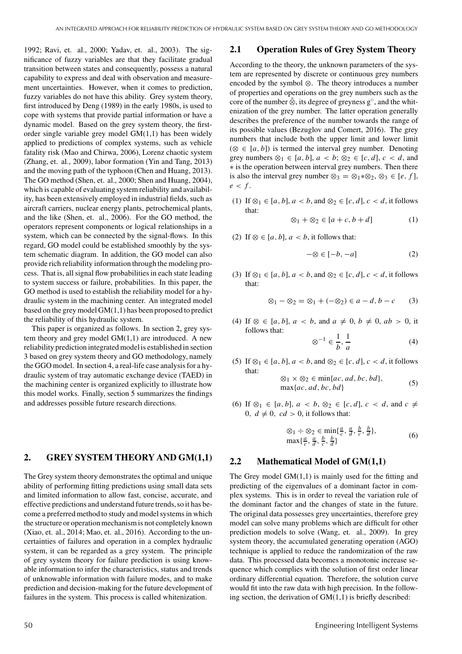1992; Ravi, et. al., 2000; Yadav, et. al., 2003). The significance of fuzzy variables are that they facilitate gradual transition between states and consequently, possess a natural capability to express and deal with observation and measurement uncertainties. However, when it comes to prediction, fuzzy variables do not have this ability. Grey system theory, first introduced by Deng (1989) in the early 1980s, is used to cope with systems that provide partial information or have a dynamic model. Based on the grey system theory, the firstorder single variable grey model GM(1,1) has been widely applied to predictions of complex systems, such as vehicle fatality risk (Mao and Chirwa, 2006), Lorenz chaotic system (Zhang, et. al., 2009), labor formation (Yin and Tang, 2013) and the moving path of the typhoon (Chen and Huang, 2013). The GO method (Shen, et. al., 2000; Shen and Huang, 2004), which is capable of evaluating system reliability and availability, has been extensively employed in industrial fields, such as aircraft carriers, nuclear energy plants, petrochemical plants, and the like (Shen, et. al., 2006). For the GO method, the operators represent components or logical relationships in a system, which can be connected by the signal-flows. In this regard, GO model could be established smoothly by the system schematic diagram. In addition, the GO model can also provide rich reliability information through the modeling process. That is, all signal flow probabilities in each state leading to system success or failure, probabilities. In this paper, the GO method is used to establish the reliability model for a hydraulic system in the machining center. An integrated model based on the grey model GM(1,1) has been proposed to predict the reliability of this hydraulic system.

This paper is organized as follows. In section 2, grey system theory and grey model  $GM(1,1)$  are introduced. A new reliability prediction integrated model is established in section 3 based on grey system theory and GO methodology, namely the GGO model. In section 4, a real-life case analysis for a hydraulic system of tray automatic exchange device (TAED) in the machining center is organized explicitly to illustrate how this model works. Finally, section 5 summarizes the findings and addresses possible future research directions.

#### **2. GREY SYSTEM THEORY AND GM(1,1)**

The Grey system theory demonstrates the optimal and unique ability of performing fitting predictions using small data sets and limited information to allow fast, concise, accurate, and effective predictions and understand future trends, so it has become a preferred method to study and model systems in which the structure or operation mechanism is not completely known (Xiao, et. al., 2014; Mao, et. al., 2016). According to the uncertainties of failures and operation in a complex hydraulic system, it can be regarded as a grey system. The principle of grey system theory for failure prediction is using knowable information to infer the characteristics, status and trends of unknowable information with failure modes, and to make prediction and decision-making for the future development of failures in the system. This process is called whitenization.

#### **2.1 Operation Rules of Grey System Theory**

According to the theory, the unknown parameters of the system are represented by discrete or continuous grey numbers encoded by the symbol ⊗. The theory introduces a number of properties and operations on the grey numbers such as the core of the number  $\hat{\otimes}$ , its degree of greyness  $g^{\circ}$ , and the whitenization of the grey number. The latter operation generally describes the preference of the number towards the range of its possible values (Bezuglov and Comert, 2016). The grey numbers that include both the upper limit and lower limit ( $\otimes$  ∈ [a, b]) is termed the interval grey number. Denoting grey numbers  $\otimes_1 \in [a, b]$ ,  $a < b$ ;  $\otimes_2 \in [c, d]$ ,  $c < d$ , and ∗ is the operation between interval grey numbers. Then there is also the interval grey number ⊗<sub>3</sub> = ⊗<sub>1</sub> $*$ ⊗<sub>2</sub>, ⊗<sub>3</sub> ∈ [*e*, *f*],  $e < f$ .

(1) If  $\otimes_1 \in [a, b]$ ,  $a < b$ , and  $\otimes_2 \in [c, d]$ ,  $c < d$ , it follows that:

$$
\otimes_1 + \otimes_2 \in [a+c, b+d] \tag{1}
$$

(2) If  $\otimes \in [a, b]$ ,  $a < b$ , it follows that:

$$
-\otimes \in [-b, -a] \tag{2}
$$

(3) If  $\otimes_1 \in [a, b]$ ,  $a < b$ , and  $\otimes_2 \in [c, d]$ ,  $c < d$ , it follows that:

$$
\otimes_1 - \otimes_2 = \otimes_1 + (-\otimes_2) \in a - d, b - c \qquad (3)
$$

(4) If ⊗ ∈ [*a*, *b*], *a* < *b*, and *a*  $\neq$  0, *b*  $\neq$  0, *ab* > 0, it follows that:

$$
\otimes^{-1} \in \frac{1}{b}, \frac{1}{a} \tag{4}
$$

(5) If  $\otimes_1 \in [a, b]$ ,  $a < b$ , and  $\otimes_2 \in [c, d]$ ,  $c < d$ , it follows that:

$$
\otimes_1 \times \otimes_2 \in \min\{ac, ad, bc, bd\},
$$
  
max\{ac, ad, bc, bd\} (5)

(6) If ⊗<sub>1</sub> ∈ [*a*, *b*], *a* < *b*, ⊗<sub>2</sub> ∈ [*c*, *d*], *c* < *d*, and *c*  $\neq$ 0,  $d \neq 0$ ,  $cd > 0$ , it follows that:

$$
\otimes_1 \div \otimes_2 \in \min\{\frac{a}{c}, \frac{a}{d}, \frac{b}{c}, \frac{b}{d}\},\
$$
  

$$
\max\{\frac{a}{c}, \frac{a}{d}, \frac{b}{c}, \frac{b}{d}\}\tag{6}
$$

#### **2.2 Mathematical Model of GM(1,1)**

The Grey model  $GM(1,1)$  is mainly used for the fitting and predicting of the eigenvalues of a dominant factor in complex systems. This is in order to reveal the variation rule of the dominant factor and the changes of state in the future. The original data possesses grey uncertainties, therefore grey model can solve many problems which are difficult for other prediction models to solve (Wang, et. al., 2009). In grey system theory, the accumulated generating operation (AGO) technique is applied to reduce the randomization of the raw data. This processed data becomes a monotonic increase sequence which complies with the solution of first order linear ordinary differential equation. Therefore, the solution curve would fit into the raw data with high precision. In the following section, the derivation of  $GM(1,1)$  is briefly described: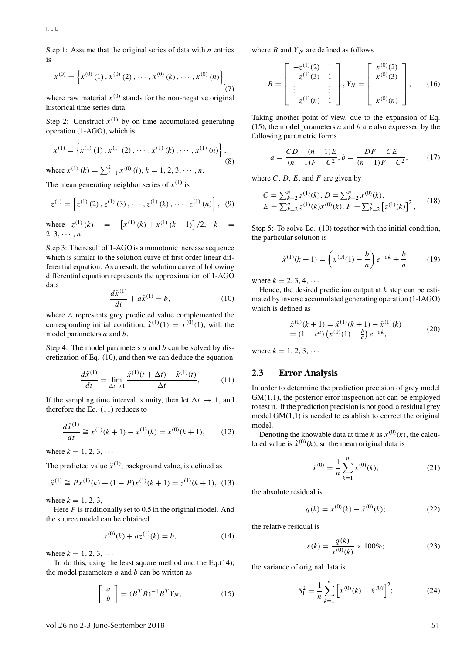Step 1: Assume that the original series of data with *n* entries is

$$
x^{(0)} = \left\{ x^{(0)}(1), x^{(0)}(2), \cdots, x^{(0)}(k), \cdots, x^{(0)}(n) \right\}_{\tag{7}}
$$

where raw material  $x^{(0)}$  stands for the non-negative original historical time series data.

Step 2: Construct  $x^{(1)}$  by on time accumulated generating operation (1-AGO), which is

$$
x^{(1)} = \left\{ x^{(1)}(1), x^{(1)}(2), \cdots, x^{(1)}(k), \cdots, x^{(1)}(n) \right\},
$$
  
where  $x^{(1)}(k) = \sum_{i=1}^{k} x^{(0)}(i), k = 1, 2, 3, \cdots, n.$  (8)

The mean generating neighbor series of  $x^{(1)}$  is

$$
z^{(1)} = \left\{ z^{(1)}(2), z^{(1)}(3), \cdots, z^{(1)}(k), \cdots, z^{(1)}(n) \right\}, (9)
$$

where  $z^{(1)}(k) = \left[x^{(1)}(k) + x^{(1)}(k-1)\right]/2, k =$  $2, 3, \cdots, n$ .

Step 3: The result of 1-AGO is a monotonic increase sequence which is similar to the solution curve of first order linear differential equation. As a result, the solution curve of following differential equation represents the approximation of 1-AGO data

$$
\frac{d\hat{x}^{(1)}}{dt} + a\hat{x}^{(1)} = b,\t(10)
$$

where ∧ represents grey predicted value complemented the corresponding initial condition,  $\hat{x}^{(1)}(1) = x^{(0)}(1)$ , with the model parameters *a* and *b*.

Step 4: The model parameters *a* and *b* can be solved by discretization of Eq. (10), and then we can deduce the equation

$$
\frac{d\hat{x}^{(1)}}{dt} = \lim_{\Delta t \to 1} \frac{\hat{x}^{(1)}(t + \Delta t) - \hat{x}^{(1)}(t)}{\Delta t},
$$
(11)

If the sampling time interval is unity, then let  $\Delta t \rightarrow 1$ , and therefore the Eq. (11) reduces to

$$
\frac{d\hat{x}^{(1)}}{dt} \cong x^{(1)}(k+1) - x^{(1)}(k) = x^{(0)}(k+1), \quad (12)
$$

where  $k = 1, 2, 3, \cdots$ 

The predicted value  $\hat{x}^{(1)}$ , background value, is defined as

$$
\hat{x}^{(1)} \cong Px^{(1)}(k) + (1 - P)x^{(1)}(k+1) = z^{(1)}(k+1), \tag{13}
$$

where  $k = 1, 2, 3, \cdots$ 

Here *P* is traditionally set to 0.5 in the original model. And the source model can be obtained

$$
x^{(0)}(k) + az^{(1)}(k) = b,\t(14)
$$

where  $k = 1, 2, 3, \cdots$ 

To do this, using the least square method and the Eq.(14), the model parameters *a* and *b* can be written as

$$
\left[\begin{array}{c} a \\ b \end{array}\right] = (B^T B)^{-1} B^T Y_N,\tag{15}
$$

where *B* and  $Y_N$  are defined as follows

$$
B = \begin{bmatrix} -z^{(1)}(2) & 1 \\ -z^{(1)}(3) & 1 \\ \vdots & \vdots \\ -z^{(1)}(n) & 1 \end{bmatrix}, Y_N = \begin{bmatrix} x^{(0)}(2) \\ x^{(0)}(3) \\ \vdots \\ x^{(0)}(n) \end{bmatrix}, \qquad (16)
$$

Taking another point of view, due to the expansion of Eq. (15), the model parameters *a* and *b* are also expressed by the following parametric forms

$$
a = \frac{CD - (n-1)E}{(n-1)F - C^2}, b = \frac{DF - CE}{(n-1)F - C^2},
$$
(17)

where  $C$ ,  $D$ ,  $E$ , and  $F$  are given by

$$
C = \sum_{k=2}^{n} z^{(1)}(k), D = \sum_{k=2}^{n} x^{(0)}(k),
$$
  
\n
$$
E = \sum_{k=2}^{n} z^{(1)}(k) x^{(0)}(k), F = \sum_{k=2}^{n} [z^{(1)}(k)]^{2},
$$
 (18)

Step 5: To solve Eq. (10) together with the initial condition, the particular solution is

$$
\hat{x}^{(1)}(k+1) = \left(x^{(0)}(1) - \frac{b}{a}\right)e^{-ak} + \frac{b}{a},\qquad(19)
$$

where  $k = 2, 3, 4, \cdots$ 

Hence, the desired prediction output at *k* step can be estimated by inverse accumulated generating operation (1-IAGO) which is defined as

$$
\hat{x}^{(0)}(k+1) = \hat{x}^{(1)}(k+1) - \hat{x}^{(1)}(k) \n= (1 - e^a) \left( x^{(0)}(1) - \frac{b}{a} \right) e^{-ak},
$$
\n(20)

where  $k = 1, 2, 3, \cdots$ 

#### **2.3 Error Analysis**

In order to determine the prediction precision of grey model  $GM(1,1)$ , the posterior error inspection act can be employed to test it. If the prediction precision is not good, a residual grey model  $GM(1,1)$  is needed to establish to correct the original model.

Denoting the knowable data at time *k* as  $x^{(0)}(k)$ , the calculated value is  $\hat{x}^{(0)}(k)$ , so the mean original data is

$$
\bar{x}^{(0)} = \frac{1}{n} \sum_{k=1}^{n} x^{(0)}(k); \tag{21}
$$

the absolute residual is

$$
q(k) = x^{(0)}(k) - \hat{x}^{(0)}(k); \tag{22}
$$

the relative residual is

$$
\varepsilon(k) = \frac{q(k)}{x^{(0)}(k)} \times 100\%; \tag{23}
$$

the variance of original data is

$$
S_1^2 = \frac{1}{n} \sum_{k=1}^n \left[ x^{(0)}(k) - \bar{x}^{202} \right]^2; \tag{24}
$$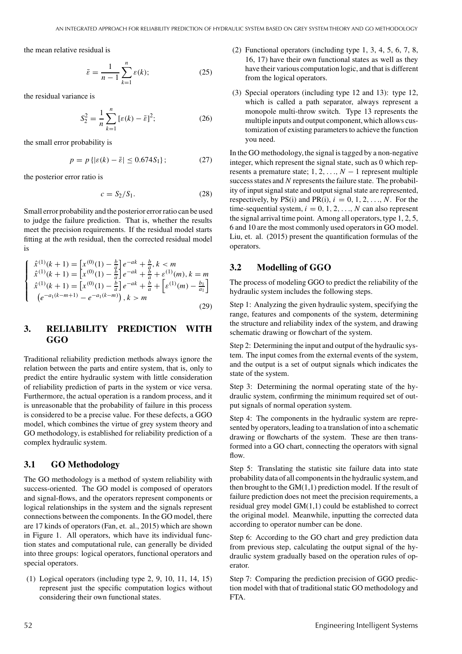the mean relative residual is

$$
\bar{\varepsilon} = \frac{1}{n-1} \sum_{k=1}^{n} \varepsilon(k); \tag{25}
$$

the residual variance is

$$
S_2^2 = \frac{1}{n} \sum_{k=1}^n \left[ \varepsilon(k) - \bar{\varepsilon} \right]^2; \tag{26}
$$

the small error probability is

$$
p = p\left\{ |\varepsilon(k) - \bar{\varepsilon}| \le 0.674S_1 \right\};\tag{27}
$$

the posterior error ratio is

$$
c = S_2/S_1. \tag{28}
$$

Small error probability and the posterior error ratio can be used to judge the failure prediction. That is, whether the results meet the precision requirements. If the residual model starts fitting at the *m*th residual, then the corrected residual model is

$$
\begin{cases}\n\hat{x}^{(1)}(k+1) = \left[x^{(0)}(1) - \frac{b}{a}\right]e^{-ak} + \frac{b}{a}, k < m \\
\hat{x}^{(1)}(k+1) = \left[x^{(0)}(1) - \frac{b}{a}\right]e^{-ak} + \frac{b}{a} + \varepsilon^{(1)}(m), k = m \\
\hat{x}^{(1)}(k+1) = \left[x^{(0)}(1) - \frac{b}{a}\right]e^{-ak} + \frac{b}{a} + \left[\varepsilon^{(1)}(m) - \frac{b_1}{a_1}\right] \\
\left(e^{-a_1(k-m+1)} - e^{-a_1(k-m)}\right), k > m\n\end{cases}
$$
\n(29)

### **3. RELIABILITY PREDICTION WITH GGO**

Traditional reliability prediction methods always ignore the relation between the parts and entire system, that is, only to predict the entire hydraulic system with little consideration of reliability prediction of parts in the system or vice versa. Furthermore, the actual operation is a random process, and it is unreasonable that the probability of failure in this process is considered to be a precise value. For these defects, a GGO model, which combines the virtue of grey system theory and GO methodology, is established for reliability prediction of a complex hydraulic system.

#### **3.1 GO Methodology**

The GO methodology is a method of system reliability with success-oriented. The GO model is composed of operators and signal-flows, and the operators represent components or logical relationships in the system and the signals represent connections between the components. In the GO model, there are 17 kinds of operators (Fan, et. al., 2015) which are shown in Figure 1. All operators, which have its individual function states and computational rule, can generally be divided into three groups: logical operators, functional operators and special operators.

(1) Logical operators (including type 2, 9, 10, 11, 14, 15) represent just the specific computation logics without considering their own functional states.

- (2) Functional operators (including type 1, 3, 4, 5, 6, 7, 8, 16, 17) have their own functional states as well as they have their various computation logic, and that is different from the logical operators.
- (3) Special operators (including type 12 and 13): type 12, which is called a path separator, always represent a monopole multi-throw switch. Type 13 represents the multiple inputs and output component,which allows customization of existing parameters to achieve the function you need.

In the GO methodology, the signal is tagged by a non-negative integer, which represent the signal state, such as 0 which represents a premature state;  $1, 2, ..., N-1$  represent multiple success states and *N* represents the failure state. The probability of input signal state and output signal state are represented, respectively, by PS(i) and PR(i),  $i = 0, 1, 2, \ldots, N$ . For the time-sequential system,  $i = 0, 1, 2, \ldots, N$  can also represent the signal arrival time point. Among all operators, type 1, 2, 5, 6 and 10 are the most commonly used operators in GO model. Liu, et. al. (2015) present the quantification formulas of the operators.

#### **3.2 Modelling of GGO**

The process of modeling GGO to predict the reliability of the hydraulic system includes the following steps.

Step 1: Analyzing the given hydraulic system, specifying the range, features and components of the system, determining the structure and reliability index of the system, and drawing schematic drawing or flowchart of the system.

Step 2: Determining the input and output of the hydraulic system. The input comes from the external events of the system, and the output is a set of output signals which indicates the state of the system.

Step 3: Determining the normal operating state of the hydraulic system, confirming the minimum required set of output signals of normal operation system.

Step 4: The components in the hydraulic system are represented by operators, leading to a translation of into a schematic drawing or flowcharts of the system. These are then transformed into a GO chart, connecting the operators with signal flow.

Step 5: Translating the statistic site failure data into state probability data of all components in the hydraulic system,and then brought to the  $GM(1,1)$  prediction model. If the result of failure prediction does not meet the precision requirements, a residual grey model GM(1,1) could be established to correct the original model. Meanwhile, inputting the corrected data according to operator number can be done.

Step 6: According to the GO chart and grey prediction data from previous step, calculating the output signal of the hydraulic system gradually based on the operation rules of operator.

Step 7: Comparing the prediction precision of GGO prediction model with that of traditional static GO methodology and FTA.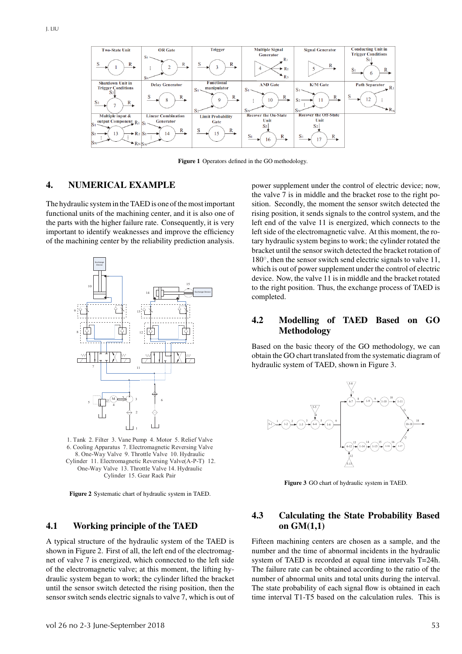

**Figure 1** Operators defined in the GO methodology.

#### **4. NUMERICAL EXAMPLE**

The hydraulic system in the TAED is one of the most important functional units of the machining center, and it is also one of the parts with the higher failure rate. Consequently, it is very important to identify weaknesses and improve the efficiency of the machining center by the reliability prediction analysis.



1. Tank 2. Filter 3. Vane Pump 4. Motor 5. Relief Valve 6. Cooling Apparatus 7. Electromagnetic Reversing Valve 8. One-Way Valve 9. Throttle Valve 10. Hydraulic Cylinder 11. Electromagnetic Reversing Valve(A-P-T) 12. One-Way Valve 13. Throttle Valve 14. Hydraulic Cylinder 15. Gear Rack Pair

**Figure 2** Systematic chart of hydraulic system in TAED.

#### **4.1 Working principle of the TAED**

A typical structure of the hydraulic system of the TAED is shown in Figure 2. First of all, the left end of the electromagnet of valve 7 is energized, which connected to the left side of the electromagnetic valve; at this moment, the lifting hydraulic system began to work; the cylinder lifted the bracket until the sensor switch detected the rising position, then the sensor switch sends electric signals to valve 7, which is out of power supplement under the control of electric device; now, the valve 7 is in middle and the bracket rose to the right position. Secondly, the moment the sensor switch detected the rising position, it sends signals to the control system, and the left end of the valve 11 is energized, which connects to the left side of the electromagnetic valve. At this moment, the rotary hydraulic system begins to work; the cylinder rotated the bracket until the sensor switch detected the bracket rotation of 180◦, then the sensor switch send electric signals to valve 11, which is out of power supplement under the control of electric device. Now, the valve 11 is in middle and the bracket rotated to the right position. Thus, the exchange process of TAED is completed.

## **4.2 Modelling of TAED Based on GO Methodology**

Based on the basic theory of the GO methodology, we can obtain the GO chart translated from the systematic diagram of hydraulic system of TAED, shown in Figure 3.



**Figure 3** GO chart of hydraulic system in TAED.

# **4.3 Calculating the State Probability Based on GM(1,1)**

Fifteen machining centers are chosen as a sample, and the number and the time of abnormal incidents in the hydraulic system of TAED is recorded at equal time intervals T=24h. The failure rate can be obtained according to the ratio of the number of abnormal units and total units during the interval. The state probability of each signal flow is obtained in each time interval T1-T5 based on the calculation rules. This is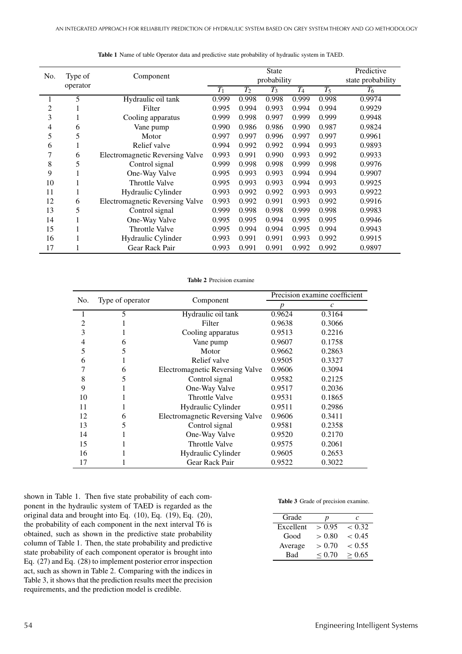| No. | Type of<br>operator | Component                              | <b>State</b>     |       |       |       | Predictive        |        |
|-----|---------------------|----------------------------------------|------------------|-------|-------|-------|-------------------|--------|
|     |                     |                                        | probability      |       |       |       | state probability |        |
|     |                     |                                        | $\overline{T_1}$ | $T_2$ | $T_3$ | $T_4$ | $T_5$             | $T_6$  |
|     | 5                   | Hydraulic oil tank                     | 0.999            | 0.998 | 0.998 | 0.999 | 0.998             | 0.9974 |
| 2   |                     | Filter                                 | 0.995            | 0.994 | 0.993 | 0.994 | 0.994             | 0.9929 |
| 3   |                     | Cooling apparatus                      | 0.999            | 0.998 | 0.997 | 0.999 | 0.999             | 0.9948 |
| 4   | 6                   | Vane pump                              | 0.990            | 0.986 | 0.986 | 0.990 | 0.987             | 0.9824 |
| 5   | 5                   | Motor                                  | 0.997            | 0.997 | 0.996 | 0.997 | 0.997             | 0.9961 |
| 6   |                     | Relief valve                           | 0.994            | 0.992 | 0.992 | 0.994 | 0.993             | 0.9893 |
| 7   | 6                   | <b>Electromagnetic Reversing Valve</b> | 0.993            | 0.991 | 0.990 | 0.993 | 0.992             | 0.9933 |
| 8   | 5                   | Control signal                         | 0.999            | 0.998 | 0.998 | 0.999 | 0.998             | 0.9976 |
| 9   |                     | One-Way Valve                          | 0.995            | 0.993 | 0.993 | 0.994 | 0.994             | 0.9907 |
| 10  |                     | <b>Throttle Valve</b>                  | 0.995            | 0.993 | 0.993 | 0.994 | 0.993             | 0.9925 |
| 11  |                     | Hydraulic Cylinder                     | 0.993            | 0.992 | 0.992 | 0.993 | 0.993             | 0.9922 |
| 12  | 6                   | <b>Electromagnetic Reversing Valve</b> | 0.993            | 0.992 | 0.991 | 0.993 | 0.992             | 0.9916 |
| 13  | 5                   | Control signal                         | 0.999            | 0.998 | 0.998 | 0.999 | 0.998             | 0.9983 |
| 14  |                     | One-Way Valve                          | 0.995            | 0.995 | 0.994 | 0.995 | 0.995             | 0.9946 |
| 15  |                     | <b>Throttle Valve</b>                  | 0.995            | 0.994 | 0.994 | 0.995 | 0.994             | 0.9943 |
| 16  |                     | Hydraulic Cylinder                     | 0.993            | 0.991 | 0.991 | 0.993 | 0.992             | 0.9915 |
| 17  |                     | Gear Rack Pair                         | 0.993            | 0.991 | 0.991 | 0.992 | 0.992             | 0.9897 |

**Table 1** Name of table Operator data and predictive state probability of hydraulic system in TAED.

**Table 2** Precision examine

| No. |                  |                                        | Precision examine coefficient |                   |  |
|-----|------------------|----------------------------------------|-------------------------------|-------------------|--|
|     | Type of operator | Component                              | p                             | $\mathcal{C}_{0}$ |  |
|     | 5                | Hydraulic oil tank                     | 0.9624                        | 0.3164            |  |
| 2   |                  | Filter                                 | 0.9638                        | 0.3066            |  |
| 3   |                  | Cooling apparatus                      | 0.9513                        | 0.2216            |  |
| 4   | 6                | Vane pump                              | 0.9607                        | 0.1758            |  |
| 5   | 5                | Motor                                  | 0.9662                        | 0.2863            |  |
| 6   |                  | Relief valve                           | 0.9505                        | 0.3327            |  |
| 7   | 6                | <b>Electromagnetic Reversing Valve</b> | 0.9606                        | 0.3094            |  |
| 8   | 5                | Control signal                         | 0.9582                        | 0.2125            |  |
| 9   |                  | One-Way Valve                          | 0.9517                        | 0.2036            |  |
| 10  |                  | <b>Throttle Valve</b>                  | 0.9531                        | 0.1865            |  |
| 11  |                  | Hydraulic Cylinder                     | 0.9511                        | 0.2986            |  |
| 12  | 6                | <b>Electromagnetic Reversing Valve</b> | 0.9606                        | 0.3411            |  |
| 13  | 5                | Control signal                         | 0.9581                        | 0.2358            |  |
| 14  |                  | One-Way Valve                          | 0.9520                        | 0.2170            |  |
| 15  |                  | <b>Throttle Valve</b>                  | 0.9575                        | 0.2061            |  |
| 16  |                  | Hydraulic Cylinder                     | 0.9605                        | 0.2653            |  |
| 17  |                  | Gear Rack Pair                         | 0.9522                        | 0.3022            |  |

shown in Table 1. Then five state probability of each component in the hydraulic system of TAED is regarded as the original data and brought into Eq. (10), Eq. (19), Eq. (20), the probability of each component in the next interval T6 is obtained, such as shown in the predictive state probability column of Table 1. Then, the state probability and predictive state probability of each component operator is brought into Eq. (27) and Eq. (28) to implement posterior error inspection act, such as shown in Table 2. Comparing with the indices in Table 3, it shows that the prediction results meet the precision requirements, and the prediction model is credible.

**Table 3** Grade of precision examine.

| Grade     | p      | c      |
|-----------|--------|--------|
| Excellent | > 0.95 | < 0.32 |
| Good      | > 0.80 | < 0.45 |
| Average   | > 0.70 | < 0.55 |
| Bad       | < 0.70 | > 0.65 |
|           |        |        |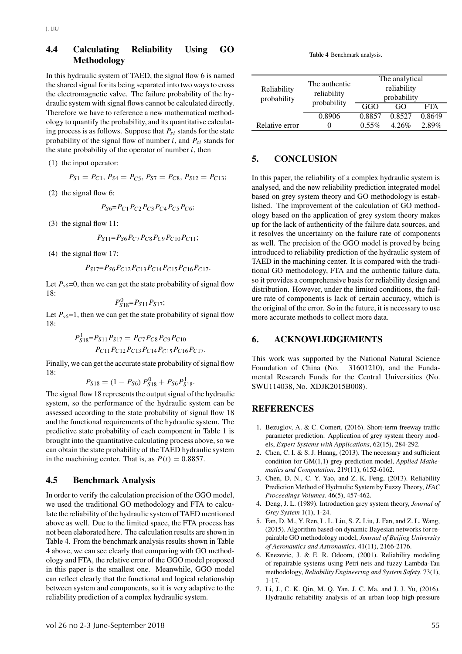### **4.4 Calculating Reliability Using GO Methodology**

In this hydraulic system of TAED, the signal flow 6 is named the shared signal for its being separated into two ways to cross the electromagnetic valve. The failure probability of the hydraulic system with signal flows cannot be calculated directly. Therefore we have to reference a new mathematical methodology to quantify the probability, and its quantitative calculating process is as follows. Suppose that *Psi* stands for the state probability of the signal flow of number  $i$ , and  $P_{ci}$  stands for the state probability of the operator of number  $i$ , then

(1) the input operator:

$$
P_{S1} = P_{C1}, P_{S4} = P_{C5}, P_{S7} = P_{C8}, P_{S12} = P_{C13};
$$

(2) the signal flow 6:

$$
P_{S6} = P_{C1} P_{C2} P_{C3} P_{C4} P_{C5} P_{C6};
$$

(3) the signal flow 11:

$$
P_{S11} = P_{S6} P_{C7} P_{C8} P_{C9} P_{C10} P_{C11};
$$

(4) the signal flow 17:

$$
P_{S17} = P_{S6} P_{C12} P_{C13} P_{C14} P_{C15} P_{C16} P_{C17}.
$$

Let  $P_{s6}=0$ , then we can get the state probability of signal flow  $18.$ 

$$
P_{S18}^0 = P_{S11} P_{S17};
$$

Let  $P_{s6}=1$ , then we can get the state probability of signal flow 18:

$$
P_{S18}^1 = P_{S11}P_{S17} = P_{C7}P_{C8}P_{C9}P_{C10}
$$

$$
P_{C11}P_{C12}P_{C13}P_{C14}P_{C15}P_{C16}P_{C17}.
$$

Finally, we can get the accurate state probability of signal flow  $18.$ 

$$
P_{S18} = (1 - P_{S6}) P_{S18}^0 + P_{S6} P_{S18}^1.
$$

The signal flow 18 represents the output signal of the hydraulic system, so the performance of the hydraulic system can be assessed according to the state probability of signal flow 18 and the functional requirements of the hydraulic system. The predictive state probability of each component in Table 1 is brought into the quantitative calculating process above, so we can obtain the state probability of the TAED hydraulic system in the machining center. That is, as  $P(t) = 0.8857$ .

#### **4.5 Benchmark Analysis**

In order to verify the calculation precision of the GGO model, we used the traditional GO methodology and FTA to calculate the reliability of the hydraulic system of TAED mentioned above as well. Due to the limited space, the FTA process has not been elaborated here. The calculation results are shown in Table 4. From the benchmark analysis results shown in Table 4 above, we can see clearly that comparing with GO methodology and FTA, the relative error of the GGO model proposed in this paper is the smallest one. Meanwhile, GGO model can reflect clearly that the functional and logical relationship between system and components, so it is very adaptive to the reliability prediction of a complex hydraulic system.

**Table 4** Benchmark analysis.

| Reliability<br>probability | The authentic<br>reliability<br>probability | The analytical<br>reliability<br>probability |          |            |  |
|----------------------------|---------------------------------------------|----------------------------------------------|----------|------------|--|
|                            |                                             | GGO<br>GO                                    |          | <b>FTA</b> |  |
|                            | 0.8906                                      | 0.8857                                       | 0.8527   | 0.8649     |  |
| Relative error             |                                             | $0.55\%$                                     | $4.26\%$ | $2.89\%$   |  |

#### **5. CONCLUSION**

In this paper, the reliability of a complex hydraulic system is analysed, and the new reliability prediction integrated model based on grey system theory and GO methodology is established. The improvement of the calculation of GO methodology based on the application of grey system theory makes up for the lack of authenticity of the failure data sources, and it resolves the uncertainty on the failure rate of components as well. The precision of the GGO model is proved by being introduced to reliability prediction of the hydraulic system of TAED in the machining center. It is compared with the traditional GO methodology, FTA and the authentic failure data, so it provides a comprehensive basis for reliability design and distribution. However, under the limited conditions, the failure rate of components is lack of certain accuracy, which is the original of the error. So in the future, it is necessary to use more accurate methods to collect more data.

#### **6. ACKNOWLEDGEMENTS**

This work was supported by the National Natural Science Foundation of China (No. 31601210), and the Fundamental Research Funds for the Central Universities (No. SWU114038, No. XDJK2015B008).

#### **REFERENCES**

- 1. Bezuglov, A. & C. Comert, (2016). Short-term freeway traffic parameter prediction: Application of grey system theory models, *Expert Systems with Applications*, 62(15), 284-292.
- 2. Chen, C. I. & S. J. Huang, (2013). The necessary and sufficient condition for GM(1,1) grey prediction model, *Applied Mathematics and Computation*. 219(11), 6152-6162.
- 3. Chen, D. N., C. Y. Yao, and Z. K. Feng, (2013). Reliability Prediction Method of Hydraulic System by Fuzzy Theory, *IFAC Proceedings Volumes*. 46(5), 457-462.
- 4. Deng, J. L. (1989). Introduction grey system theory, *Journal of Grey System* 1(1), 1-24.
- 5. Fan, D. M., Y. Ren, L. L. Liu, S. Z. Liu, J. Fan, and Z. L. Wang, (2015). Algorithm based-on dynamic Bayesian networks for repairable GO methodology model, *Journal of Beijing University of Aeronautics and Astronautics*. 41(11), 2166-2176.
- 6. Knezevic, J. & E. R. Odoom, (2001). Reliability modeling of repairable systems using Petri nets and fuzzy Lambda-Tau methodology, *Reliability Engineering and System Safety*. 73(1), 1-17.
- 7. Li, J., C. K. Qin, M. Q. Yan, J. C. Ma, and J. J. Yu, (2016). Hydraulic reliability analysis of an urban loop high-pressure